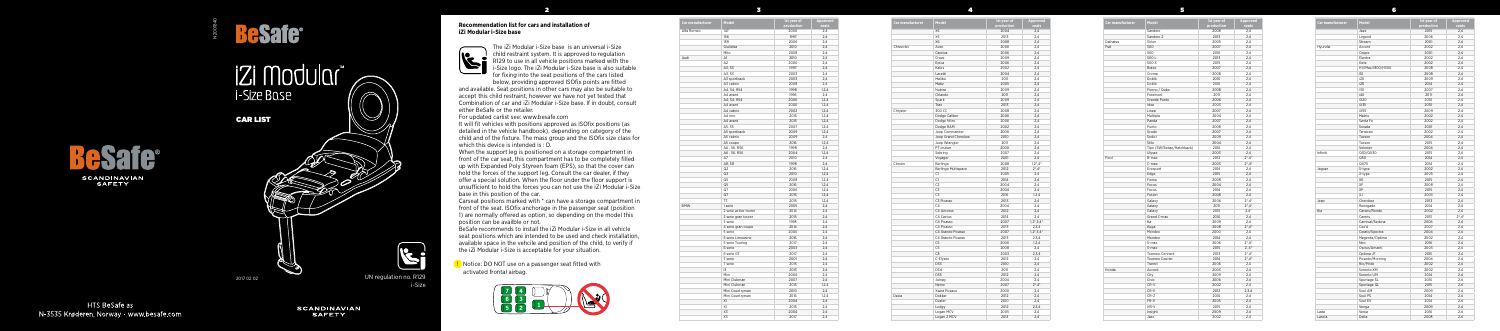



## **iZi Modular** i-Size Base

2

3

4

5

## **Recommendation list for cars and installation of iZi Modular i-Size base**



The iZi Modular i-Size base is an universal i-Size child restraint system. It is approved to regulation R129 to use in all vehicle positions marked with the i-Size logo. The iZi Modular i-Size base is also suitable for fixing into the seat positions of the cars listed

below, providing approved ISOfix points are fitted and available. Seat positions in other cars may also be suitable to accept this child restraint, however we have not yet tested that Combination of car and iZi Modular i-Size base. If in doubt, consult either BeSafe or the retailer.

For updated carlist see: www.besafe.com

It will fit vehicles with positions approved as ISOfix positions (as detailed in the vehicle handbook), depending on category of the child and of the fixture. The mass group and the ISOfix size class for which this device is intended is : D.

When the support leg is positioned on a storage compartment in front of the car seat, this compartment has to be completely filled up with Expanded Poly Styreen foam (EPS), so that the cover can hold the forces of the support leg. Consult the car dealer, if they offer a special solution. When the floor under the floor support is unsufficient to hold the forces you can not use the iZi Modular i-Size base in this position of the car.

Carseat positions marked with \* can have a storage compartment in front of the seat. ISOfix anchorage in the passenger seat (position 1) are normally offered as option, so depending on the model this position can be availble or not.

BeSafe recommends to install the iZi Modular i-Size in all vehicle seat positions which are intended to be used and check installation, available space in the vehcile and position of the child, to verify if the iZi Modular i-Size is acceptable for your situation.

| Car manufacturer | Model               | 1st vear of<br>production | Approved<br>seats |
|------------------|---------------------|---------------------------|-------------------|
|                  | X <sub>5</sub>      | 2004                      | 2,4               |
|                  | X5                  | 2013                      | 2,4               |
|                  | X6                  | 2008                      | 2,4               |
| Chrevolet        | Aveo                | 2006                      | 2,4               |
|                  | Captiva             | 2006                      | 2,4               |
|                  | Cruze               | 2009                      | 2,4               |
|                  | Epica               | 2006                      | 2,4               |
|                  | Kalos               | 2002                      | 2,4               |
|                  | Lacetti             | 2004                      | 2,4               |
|                  | Malibu              | 2011                      | 2,4               |
|                  | Matiz               | 2005                      | 2,4               |
|                  | Nubira              | 2009                      | 2,4               |
|                  | Orlando             | 2011                      | 2,4               |
|                  | Spark               | 2009                      | 2,4               |
|                  | Trax                | 2013                      | 2,4               |
| Chrysler         | 300 CC              | 2008                      | 2,4               |
|                  | Dodge Caliber       | 2006                      | 2,4               |
|                  | Dodge Nitro         | 2006                      | 2,4               |
|                  | Dodge RAM           | 2002                      | 2,4               |
|                  | Jeep Commander      | 2006                      | 2,4               |
|                  | Jeep Grand Cherokee | 2010                      | 2,4               |
|                  | Jeep Wrangler       | 2011                      | 2,4               |
|                  | PT cruiser          | 2000                      | 2,4               |
|                  | Sebring             | 2007                      | 2,4               |
|                  | Voyager             | 2001                      | 2,4               |
| Citroën          | Berlingo            | 2008                      | $1,2^*,4^*$       |
|                  | Berlingo Multispace | 2012                      | $2^*$ , $4^*$     |
|                  | C1                  | 2005                      | 2,4               |
|                  | C1                  | 2014                      | 2.4               |
|                  | C2                  | 2004                      | 2,4               |
|                  | C3                  | 2004                      | 2,4               |
|                  | C3                  | 2016                      | 1, 2, 4           |
|                  | C3 Picasso          | 2013                      | 2,4               |
|                  | C <sub>4</sub>      | 2004                      | 2,4               |
|                  | C4 Aircross         | 2012                      | 2,4               |
|                  | C4 Cactus           | 2014                      | 2,4               |
|                  | C4 Picasso          | 2007                      | $1, 2^*, 3, 4^*$  |
|                  | C4 Picasso          | 2013                      | 2,3,4             |
|                  | C4 Grande Picasso   | 2007                      | $1,2^*,3,4^*$     |
|                  | C4 Grande Picasso   | 2013                      | 2,3,4             |
|                  | C5                  | 2000                      | 1,2,4             |
|                  | C6                  | 2008                      | 2,4               |
|                  | C8                  | 2003                      | 2,3,4             |
|                  | C-Elysée            | 2012                      | 2,4               |
|                  | DS3                 | 2010                      | 2,4               |
|                  | DS4                 | 2011                      | 2,4               |
|                  | DS5                 | 2012                      | 2,4               |
|                  | Jumpy               | 2004                      | 2,4               |
|                  | Nemo                | 2007                      | $2^*$ , $4^*$     |
|                  | Xsara Picasso       | 2000                      | 2,4               |
| Dacia            | Dokker              | 2012                      | 2,4               |
|                  | Duster              | 2010                      | 2,4               |
|                  | Lodgy               | 2012                      | 2,3,4             |
|                  | Logan MCV           | 2005                      | 2,4               |
|                  | Logan 2 MCV         | 2013                      | 2,4               |
|                  |                     |                           |                   |

**D** Notice: DO NOT use on a passenger seat fitted with activated frontal airbag.

| Car manufacturer | Model                     | 1st year of<br>production | Approved<br>seats      |
|------------------|---------------------------|---------------------------|------------------------|
|                  | Sandero                   | 2008                      | 2,4                    |
|                  | Sandero 2                 | 2013                      | 2,4                    |
| Daihatsu         | Sirion                    | 2005                      | 2,4                    |
| Fiat             | 500                       | 2007                      | 2,4                    |
|                  | 500                       | 2016                      | 2,4                    |
|                  | 500L                      | 2013                      | 2,4                    |
|                  | 500 X                     | 2015                      | 2.4                    |
|                  | Bravo                     | 2007                      | 2,4                    |
|                  | Croma                     | 2008                      | 2,4                    |
|                  | Doblò                     | 2010                      | 2,4                    |
|                  | Doblò                     | 2016                      | 2,4                    |
|                  | Fiorno / Qubo             | 2008                      | 2,4                    |
|                  | Freemont                  | 2011                      | 2.4                    |
|                  | Grande Punto              | 2006                      | 2,4                    |
|                  |                           |                           |                        |
|                  | Idea                      | 2003                      | 2,4                    |
|                  | Linea                     | 2007                      | 2,4                    |
|                  | Multipla                  | 2004                      | 2,4                    |
|                  | Panda                     | 2007                      | 2,4                    |
|                  | Punto                     | 2008                      | 2.4                    |
|                  | Scudo                     | 2007                      | 2,4                    |
|                  | Sedici                    | 2009                      | 2,4                    |
|                  | Stilo                     | 2004                      | 2,4                    |
|                  | Tipo (SW/Sedan/Hatchback) | 2016                      | 2,4                    |
|                  | Ulysse                    | 2003                      | 2,4                    |
| Ford             | B-max                     | 2012                      | $2^*$ , 4 <sup>*</sup> |
|                  | C-max                     | 2003                      | $2^*$ , $4^*$          |
|                  | Ecosport                  | 2014                      | 2,4                    |
|                  | Edge                      | 2015                      | 2,4                    |
|                  | Fiesta                    | 2008                      | 2,4                    |
|                  | Focus                     | 2004                      | 2.4                    |
|                  | Focus                     | 2014                      | 2,4                    |
|                  | Fusion                    | 2008                      | 2,4                    |
|                  | Galaxy                    | 2006                      | $2^*$ ,4 $*$           |
|                  | Galaxy                    | 2011                      | $2^*$ , $4^*$          |
|                  | Galaxy                    | 2015                      | $2,4*$                 |
|                  | Grand C-max               | 2010                      | 2.4                    |
|                  | Ka                        | 2009                      | 2,4                    |
|                  | Kuga                      | 2008                      | $2^*$ , 4 $*$          |
|                  | Mondeo                    | 2000                      | 2,4                    |
|                  | Mondeo                    | 2014                      | 2.4                    |
|                  | S-max                     | 2006                      | $2^*$ , 4 $*$          |
|                  | S-max                     | 2015                      | $2, 4^*$               |
|                  | Tourneo Connect           | 2013                      |                        |
|                  |                           |                           | $2^*$ , $4^*$          |
|                  | Tourneo Courier           | 2014                      | $2^*$ ,4 $*$           |
|                  | Transit                   | 2006                      | 2,4                    |
| Honda            | Accord                    | 2003                      | 2,4                    |
|                  | City                      | 2009                      | 2,4                    |
|                  | Civic                     | 2006                      | 2,4                    |
|                  | CR-V                      | 2002                      | 2,4                    |
|                  | CR-V                      | 2012                      | 2,3,4                  |
|                  | $CR-Z$                    | 2010                      | 2,4                    |
|                  | FR-V                      | 2005                      | 2,4                    |
|                  | HR-V                      | 2015                      | 2,4                    |
|                  | Insight                   | 2009                      | 2,4                    |
|                  | Jazz                      | 2002                      | 2,4                    |

| Car manufacturer | Model                 | 1st year of<br>production | Approved<br>seats |
|------------------|-----------------------|---------------------------|-------------------|
| Alfa Romeo       | 147                   | 2000                      | 2,4               |
|                  | 156                   | 1997                      | 2,4               |
|                  | 159                   | 2006                      | 2,4               |
|                  | Giulietta             | 2010                      | 2,4               |
|                  | Mito                  | 2008                      | 2,4               |
| Audi             | A1                    | 2010                      | 2,4               |
|                  | A <sub>2</sub>        | 2000                      | 2,4               |
|                  | A3, S3                | 1997                      | 2,4               |
|                  | A3, S3                | 2003                      | 2,4               |
|                  | A3 sportback          | 2003                      | 2.4               |
|                  | A3 cabrio             | 2008                      | 2,4               |
|                  | A4, S4, RS4           | 1998                      | 1,2,4             |
|                  | A4 avant              | 1996                      | 2,4               |
|                  | A4, S4, RS4           | 2000                      | 1,2,4             |
|                  | A4 avant              | 2000                      | 1,2,4             |
|                  | A4 cabrio             | 2002                      | 1,2,4             |
|                  | A4 imo                | 2015                      | 1,2,4             |
|                  | A4 avant              | 2015                      | 1,2,4             |
|                  | A5, S5                | 2007                      | 1,2,4             |
|                  | A5 sportback          | 2009                      | 1,2,4             |
|                  | A5 cabrio             | 2009                      | 2,4               |
|                  | A5 coupe              | 2016                      | 1.2.4             |
|                  | A6, S6, RS6           | 1998                      | 2.4               |
|                  | A6, S6, RS6           | 2004                      | 1,2,4             |
|                  | A7                    | 2010                      | 2,4               |
|                  | A8, S8                | 1998                      | 2,4               |
|                  | Q2                    | 2016                      | 1,2,4             |
|                  | Q3                    | 2010                      | 1,2,4             |
|                  | Q5                    |                           |                   |
|                  |                       | 2008                      | 1,2,4             |
|                  | Q5<br>Q7              | 2016<br>2006              | 1,2,4             |
|                  | Q7                    |                           | 1,2,4             |
|                  |                       | 2015                      | 1,2,4             |
|                  | TT.                   | 2015                      | 1,2,4             |
| <b>BMW</b>       | 1 serie               | 2005                      | 2,4               |
|                  | 2 serie active tourer | 2014                      | 2.4               |
|                  | 2 serie gran tourer   | 2015                      | 2,4               |
|                  | 3 serie               | 1998                      | 2,4               |
|                  | 4 serie gran coupe    | 2014                      | 2,4               |
|                  | 5 serie               | 2000                      | 2.4               |
|                  | 5 serie Limousine     | 2016                      | 2,4               |
|                  | 5 serie Touring       | 2017                      | 2,4               |
|                  | 6 serie               | 2003                      | 2,4               |
|                  | 6 serie GT            | 2017                      | 2,4               |
|                  | 7 serie               | 2001                      | 2,4               |
|                  | 7 serie               | 2015                      | 2,4               |
|                  | i3                    | 2013                      | 2,4               |
|                  | Mini                  | 2006                      | 2.4               |
|                  | Mini Clubman          | 2007                      | 2,4               |
|                  | Mini Clubman          | 2015                      | 1,2,4             |
|                  | Mini Countryman       | 2010                      | 2,4               |
|                  | Mini Countryman       | 2016                      | 1,2,4             |
|                  | X1                    | 2004                      | 2,4               |
|                  | X1                    | 2015                      | 2,4               |
|                  | X3                    | 2004                      | 2,4               |
|                  | X3                    | 2017                      | 2,4               |



**HTS BeSafe as** N-3535 Krøderen. Norway - www.besafe.com

**SCANDINAVIAN SAFETY** 

CAR LIST

N200184C

UN regulation no. R129 i-Size

2017 02 02



| Model             | 1st year of<br>production | <b>Approved</b><br>seats |
|-------------------|---------------------------|--------------------------|
| Jazz              | 2015                      | 2,4                      |
| Legend            | 2006                      | 2,4                      |
| Stream            | 2001                      | 2,4                      |
| Accent            | 2002                      | 2,4                      |
| Coupe             | 2001                      | 2,4                      |
| Elantra           | 2002                      | 2,4                      |
| Getz              | 2002                      | 2,4                      |
| H1/iMax/i800/H300 | 2008                      | 2.4                      |
| i10               | 2008                      | 2,4                      |
| i20               | 2009                      | 2,4                      |
| i20               | 2014                      | 2,4                      |
| i30               | 2007                      | 2,4                      |
| i40               | 2011                      | 2,4                      |
| iX20              | 2010                      | 2,4                      |
| iX35              | 2010                      | 2,4                      |
| iX55              | 2009                      | 2,4                      |
| Matrix            | 2002                      | 2,4                      |
| Santa Fe          | 2002                      | 2,4                      |
| Sonata            | 2001                      | 2,4                      |
| Terracan          | 2002                      | 2,4                      |
| Tucson            | 2004                      | 2,4                      |
| Tucson            | 2015                      | 2,4                      |
| Veloster          | 2004                      | 2,4                      |
| Q30/QX30          | 2015                      | 2,4                      |
| Q50               | 2014                      | 2,4                      |
| QX70              | 2014                      | 2,4                      |
| S-type            | 2002                      | 2,4                      |
| X-type            | 2005                      | 2,4                      |
| XE                | 2015                      | 2,4                      |
| XF                | 2008                      | 2,4                      |
| XF                | 2015                      | 2,4                      |
| XJ                | 2003                      | 2,4                      |
| Cherokee          | 2013                      | 2,4                      |
| Renegade          | 2014                      | 2,4                      |
| Carens/Rondo      | 2002                      | 2,4                      |
| Carens            | 2013                      | $2^*$ , 4*               |
| Carnival/Sedona   | 2006                      | 2,4                      |
| Cee'd             | 2007                      | 2,4                      |
| Cerato/Spectra    | 2004                      | 2,4                      |
| Magentis/Optima   | 2002                      | 2,4                      |
| Niro              | 2016                      | 2,4                      |
| Opirus/Amanti     | 2003                      | 2,4                      |
| Optima JF         | 2015                      | 2,4                      |
| Picanto/Morning   | 2004                      | 2,4                      |
| Rio/Pride         | 2002                      | 2,4                      |
| Sorento XM        | 2002                      | 2,4                      |
| Sorento UM        | 2014                      | 2,4                      |
| Sportage SL       | 2010                      | 2,4                      |
| Sportage QL       | 2015                      | 2,4                      |
| Soul AM           | 2009                      | 2,4                      |
| Soul PS           | 2014                      | 2,4                      |
| Soul EV           | 2014                      | 2,4                      |
| Venga             | 2009                      | 2,4                      |
| Vesta             | 2016                      | 2,4                      |
| Delta             | 2008                      | 2,4                      |

| Car manufacturer | Model             | 1st year of<br>production | Appro<br>seat |
|------------------|-------------------|---------------------------|---------------|
|                  | Jazz              | 2015                      | 2,4           |
|                  | Legend            | 2006                      | 2,4           |
|                  | Stream            | 2001                      | 2,4           |
| Hyundai          | Accent            | 2002                      | 2,4           |
|                  | Coupe             | 2001                      | 2,4           |
|                  | Elantra           | 2002                      | 2,4           |
|                  | Getz              | 2002                      | 2,4           |
|                  | H1/iMax/i800/H300 | 2008                      | 2,4           |
|                  | i10               | 2008                      | 2,4           |
|                  | i20               | 2009                      | 2,4           |
|                  | i20               | 2014                      | 2,4           |
|                  | i30               | 2007                      | 2,4           |
|                  | i40               | 2011                      | 2,4           |
|                  | iX20              | 2010                      | 2,4           |
|                  | iX35              | 2010                      | 2,4           |
|                  | iX55              | 2009                      | 2,4           |
|                  | Matrix            | 2002                      | 2,4           |
|                  | Santa Fe          | 2002                      | 2.4           |
|                  | Sonata            | 2001                      | 2,4           |
|                  | Terracan          | 2002                      | 2,4           |
|                  | Tucson            | 2004                      | 2,4           |
|                  | Tucson            | 2015                      | 2,4           |
|                  | Veloster          | 2004                      | 2,4           |
| Infiniti         | Q30/QX30          | 2015                      | 2,4           |
|                  | Q50               | 2014                      | 2,4           |
|                  | QX70              | 2014                      | 2,4           |
| Jaguar           | S-type            | 2002                      | 2,4           |
|                  | X-type            | 2005                      | 2,4           |
|                  | XE                | 2015                      | 2,4           |
|                  | XF                | 2008                      | 2,4           |
|                  | XF                | 2015                      | 2,4           |
|                  | XJ                | 2003                      | 2,4           |
| Jeep             | Cherokee          | 2013                      | 2,4           |
|                  | Renegade          | 2014                      | 2,4           |
| Kia              | Carens/Rondo      | 2002                      | 2,4           |
|                  | Carens            | 2013                      | $2^*$ ,4      |
|                  | Carnival/Sedona   | 2006                      | 2,4           |
|                  | Cee'd             | 2007                      | 2,4           |
|                  | Cerato/Spectra    | 2004                      | 2,4           |
|                  | Magentis/Optima   | 2002                      | 2,4           |
|                  | Niro              | 2016                      | 2,4           |
|                  | Opirus/Amanti     | 2003                      | 2,4           |
|                  | Optima JF         | 2015                      | 2,4           |
|                  | Picanto/Morning   | 2004                      | 2,4           |
|                  | Rio/Pride         | 2002                      | 2,4           |
|                  | Sorento XM        | 2002                      | 2,4           |
|                  | Sorento UM        | 2014                      | 2,4           |
|                  | Sportage SL       | 2010                      | 2,4           |
|                  | Sportage QL       | 2015                      | 2,4           |
|                  | Soul AM           | 2009                      | 2,4           |
|                  | Soul PS           | 2014                      | 2,4           |
|                  | Soul EV           | 2014                      | 2,4           |
|                  | Venga             | 2009                      | 2,4           |
| Lada             | Vesta             | 2016                      | 2,4           |
| Lancia           | Delta             | 2008                      | 2,4           |